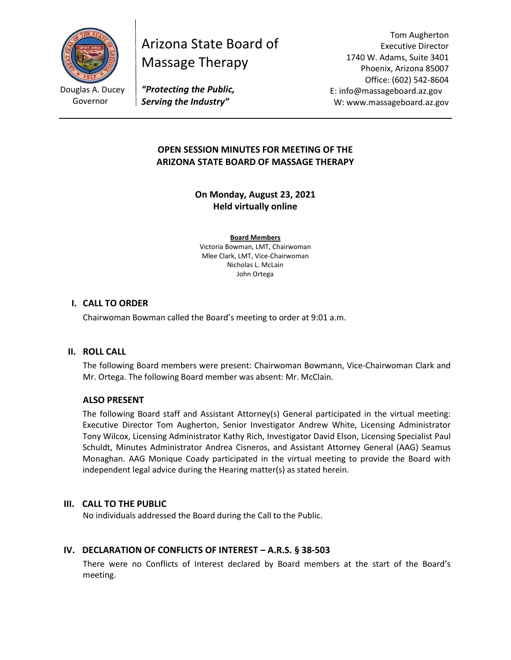

Arizona State Board of Massage Therapy

Tom Augherton Executive Director 1740 W. Adams, Suite 3401 Phoenix, Arizona 85007 Office: (602) 542-8604 E: info@massageboard.az.gov W: www.massageboard.az.gov

*"Protecting the Public, Serving the Industry"*

# **OPEN SESSION MINUTES FOR MEETING OF THE ARIZONA STATE BOARD OF MASSAGE THERAPY**

**On Monday, August 23, 2021 Held virtually online** 

**Board Members** Victoria Bowman, LMT, Chairwoman Mlee Clark, LMT, Vice-Chairwoman Nicholas L. McLain John Ortega

## **I. CALL TO ORDER**

Chairwoman Bowman called the Board's meeting to order at 9:01 a.m.

#### **II. ROLL CALL**

The following Board members were present: Chairwoman Bowmann, Vice-Chairwoman Clark and Mr. Ortega. The following Board member was absent: Mr. McClain.

#### **ALSO PRESENT**

The following Board staff and Assistant Attorney(s) General participated in the virtual meeting: Executive Director Tom Augherton, Senior Investigator Andrew White, Licensing Administrator Tony Wilcox, Licensing Administrator Kathy Rich, Investigator David Elson, Licensing Specialist Paul Schuldt, Minutes Administrator Andrea Cisneros, and Assistant Attorney General (AAG) Seamus Monaghan. AAG Monique Coady participated in the virtual meeting to provide the Board with independent legal advice during the Hearing matter(s) as stated herein.

#### **III. CALL TO THE PUBLIC**

No individuals addressed the Board during the Call to the Public.

#### **IV. DECLARATION OF CONFLICTS OF INTEREST – A.R.S. § 38-503**

There were no Conflicts of Interest declared by Board members at the start of the Board's meeting.

Douglas A. Ducey Governor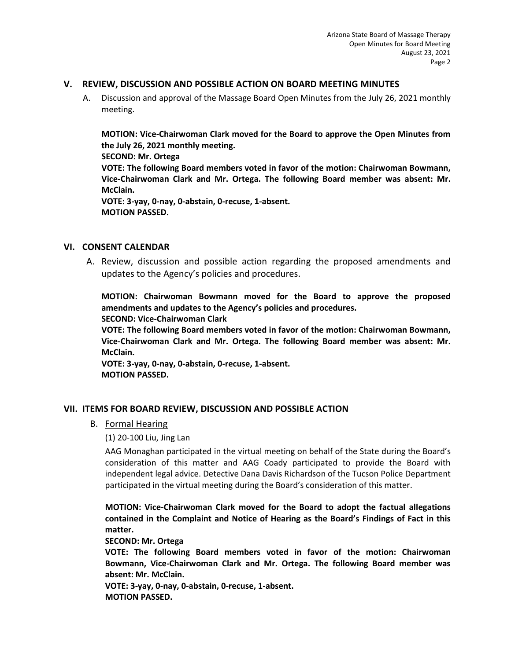### **V. REVIEW, DISCUSSION AND POSSIBLE ACTION ON BOARD MEETING MINUTES**

A. Discussion and approval of the Massage Board Open Minutes from the July 26, 2021 monthly meeting.

**MOTION: Vice-Chairwoman Clark moved for the Board to approve the Open Minutes from the July 26, 2021 monthly meeting.** 

**SECOND: Mr. Ortega** 

**VOTE: The following Board members voted in favor of the motion: Chairwoman Bowmann, Vice-Chairwoman Clark and Mr. Ortega. The following Board member was absent: Mr. McClain.** 

**VOTE: 3-yay, 0-nay, 0-abstain, 0-recuse, 1-absent. MOTION PASSED.** 

### **VI. CONSENT CALENDAR**

A. Review, discussion and possible action regarding the proposed amendments and updates to the Agency's policies and procedures.

**MOTION: Chairwoman Bowmann moved for the Board to approve the proposed amendments and updates to the Agency's policies and procedures.** 

#### **SECOND: Vice-Chairwoman Clark**

**VOTE: The following Board members voted in favor of the motion: Chairwoman Bowmann, Vice-Chairwoman Clark and Mr. Ortega. The following Board member was absent: Mr. McClain.** 

**VOTE: 3-yay, 0-nay, 0-abstain, 0-recuse, 1-absent. MOTION PASSED.** 

## **VII. ITEMS FOR BOARD REVIEW, DISCUSSION AND POSSIBLE ACTION**

## B. Formal Hearing

(1) 20-100 Liu, Jing Lan

AAG Monaghan participated in the virtual meeting on behalf of the State during the Board's consideration of this matter and AAG Coady participated to provide the Board with independent legal advice. Detective Dana Davis Richardson of the Tucson Police Department participated in the virtual meeting during the Board's consideration of this matter.

**MOTION: Vice-Chairwoman Clark moved for the Board to adopt the factual allegations contained in the Complaint and Notice of Hearing as the Board's Findings of Fact in this matter.** 

#### **SECOND: Mr. Ortega**

**VOTE: The following Board members voted in favor of the motion: Chairwoman Bowmann, Vice-Chairwoman Clark and Mr. Ortega. The following Board member was absent: Mr. McClain.** 

**VOTE: 3-yay, 0-nay, 0-abstain, 0-recuse, 1-absent. MOTION PASSED.**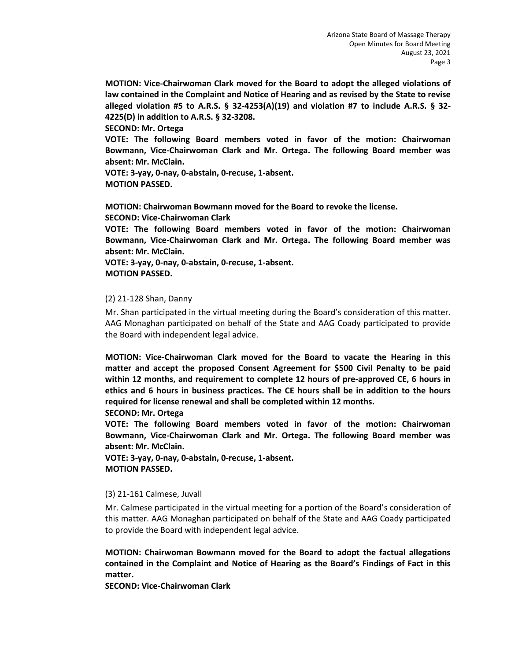**MOTION: Vice-Chairwoman Clark moved for the Board to adopt the alleged violations of law contained in the Complaint and Notice of Hearing and as revised by the State to revise alleged violation #5 to A.R.S. § 32-4253(A)(19) and violation #7 to include A.R.S. § 32- 4225(D) in addition to A.R.S. § 32-3208.** 

**SECOND: Mr. Ortega** 

**VOTE: The following Board members voted in favor of the motion: Chairwoman Bowmann, Vice-Chairwoman Clark and Mr. Ortega. The following Board member was absent: Mr. McClain.** 

**VOTE: 3-yay, 0-nay, 0-abstain, 0-recuse, 1-absent. MOTION PASSED.** 

**MOTION: Chairwoman Bowmann moved for the Board to revoke the license.** 

**SECOND: Vice-Chairwoman Clark** 

**VOTE: The following Board members voted in favor of the motion: Chairwoman Bowmann, Vice-Chairwoman Clark and Mr. Ortega. The following Board member was absent: Mr. McClain.** 

**VOTE: 3-yay, 0-nay, 0-abstain, 0-recuse, 1-absent. MOTION PASSED.** 

#### (2) 21-128 Shan, Danny

Mr. Shan participated in the virtual meeting during the Board's consideration of this matter. AAG Monaghan participated on behalf of the State and AAG Coady participated to provide the Board with independent legal advice.

**MOTION: Vice-Chairwoman Clark moved for the Board to vacate the Hearing in this matter and accept the proposed Consent Agreement for \$500 Civil Penalty to be paid within 12 months, and requirement to complete 12 hours of pre-approved CE, 6 hours in ethics and 6 hours in business practices. The CE hours shall be in addition to the hours required for license renewal and shall be completed within 12 months.** 

**SECOND: Mr. Ortega** 

**VOTE: The following Board members voted in favor of the motion: Chairwoman Bowmann, Vice-Chairwoman Clark and Mr. Ortega. The following Board member was absent: Mr. McClain.** 

**VOTE: 3-yay, 0-nay, 0-abstain, 0-recuse, 1-absent. MOTION PASSED.** 

#### (3) 21-161 Calmese, Juvall

Mr. Calmese participated in the virtual meeting for a portion of the Board's consideration of this matter. AAG Monaghan participated on behalf of the State and AAG Coady participated to provide the Board with independent legal advice.

**MOTION: Chairwoman Bowmann moved for the Board to adopt the factual allegations contained in the Complaint and Notice of Hearing as the Board's Findings of Fact in this matter.** 

**SECOND: Vice-Chairwoman Clark**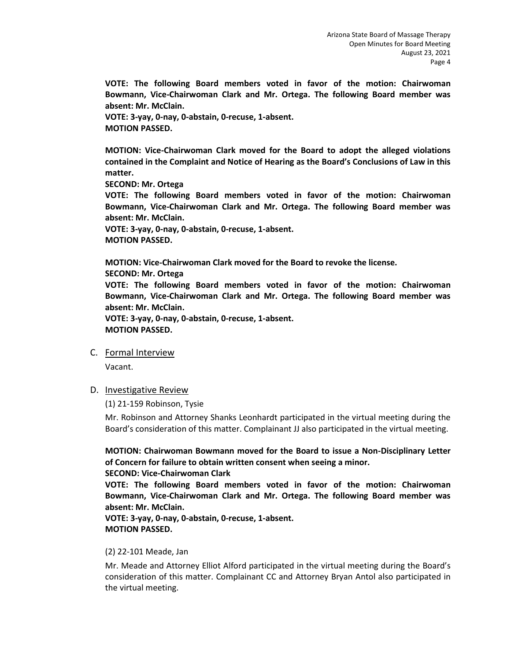**VOTE: The following Board members voted in favor of the motion: Chairwoman Bowmann, Vice-Chairwoman Clark and Mr. Ortega. The following Board member was absent: Mr. McClain.** 

**VOTE: 3-yay, 0-nay, 0-abstain, 0-recuse, 1-absent. MOTION PASSED.** 

**MOTION: Vice-Chairwoman Clark moved for the Board to adopt the alleged violations contained in the Complaint and Notice of Hearing as the Board's Conclusions of Law in this matter.** 

**SECOND: Mr. Ortega**

**VOTE: The following Board members voted in favor of the motion: Chairwoman Bowmann, Vice-Chairwoman Clark and Mr. Ortega. The following Board member was absent: Mr. McClain.** 

**VOTE: 3-yay, 0-nay, 0-abstain, 0-recuse, 1-absent. MOTION PASSED.** 

**MOTION: Vice-Chairwoman Clark moved for the Board to revoke the license.** 

#### **SECOND: Mr. Ortega**

**VOTE: The following Board members voted in favor of the motion: Chairwoman Bowmann, Vice-Chairwoman Clark and Mr. Ortega. The following Board member was absent: Mr. McClain.** 

**VOTE: 3-yay, 0-nay, 0-abstain, 0-recuse, 1-absent. MOTION PASSED.** 

## C. Formal Interview

Vacant.

#### D. Investigative Review

(1) 21-159 Robinson, Tysie

Mr. Robinson and Attorney Shanks Leonhardt participated in the virtual meeting during the Board's consideration of this matter. Complainant JJ also participated in the virtual meeting.

**MOTION: Chairwoman Bowmann moved for the Board to issue a Non-Disciplinary Letter of Concern for failure to obtain written consent when seeing a minor.** 

#### **SECOND: Vice-Chairwoman Clark**

**VOTE: The following Board members voted in favor of the motion: Chairwoman Bowmann, Vice-Chairwoman Clark and Mr. Ortega. The following Board member was absent: Mr. McClain.** 

**VOTE: 3-yay, 0-nay, 0-abstain, 0-recuse, 1-absent. MOTION PASSED.** 

#### (2) 22-101 Meade, Jan

Mr. Meade and Attorney Elliot Alford participated in the virtual meeting during the Board's consideration of this matter. Complainant CC and Attorney Bryan Antol also participated in the virtual meeting.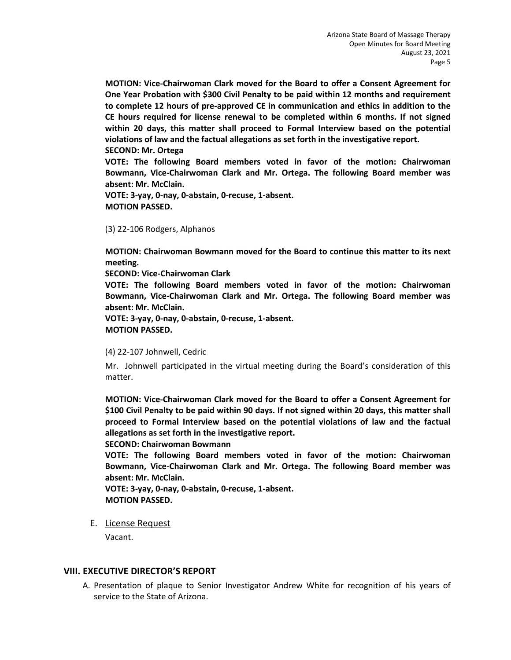**MOTION: Vice-Chairwoman Clark moved for the Board to offer a Consent Agreement for One Year Probation with \$300 Civil Penalty to be paid within 12 months and requirement to complete 12 hours of pre-approved CE in communication and ethics in addition to the CE hours required for license renewal to be completed within 6 months. If not signed within 20 days, this matter shall proceed to Formal Interview based on the potential violations of law and the factual allegations as set forth in the investigative report. SECOND: Mr. Ortega** 

**VOTE: The following Board members voted in favor of the motion: Chairwoman Bowmann, Vice-Chairwoman Clark and Mr. Ortega. The following Board member was absent: Mr. McClain.** 

**VOTE: 3-yay, 0-nay, 0-abstain, 0-recuse, 1-absent. MOTION PASSED.** 

(3) 22-106 Rodgers, Alphanos

**MOTION: Chairwoman Bowmann moved for the Board to continue this matter to its next meeting.** 

**SECOND: Vice-Chairwoman Clark**

**VOTE: The following Board members voted in favor of the motion: Chairwoman Bowmann, Vice-Chairwoman Clark and Mr. Ortega. The following Board member was absent: Mr. McClain.** 

**VOTE: 3-yay, 0-nay, 0-abstain, 0-recuse, 1-absent. MOTION PASSED.** 

#### (4) 22-107 Johnwell, Cedric

Mr. Johnwell participated in the virtual meeting during the Board's consideration of this matter.

**MOTION: Vice-Chairwoman Clark moved for the Board to offer a Consent Agreement for \$100 Civil Penalty to be paid within 90 days. If not signed within 20 days, this matter shall proceed to Formal Interview based on the potential violations of law and the factual allegations as set forth in the investigative report.** 

**SECOND: Chairwoman Bowmann**

**VOTE: The following Board members voted in favor of the motion: Chairwoman Bowmann, Vice-Chairwoman Clark and Mr. Ortega. The following Board member was absent: Mr. McClain.** 

**VOTE: 3-yay, 0-nay, 0-abstain, 0-recuse, 1-absent. MOTION PASSED.** 

E. License Request

Vacant.

#### **VIII. EXECUTIVE DIRECTOR'S REPORT**

A. Presentation of plaque to Senior Investigator Andrew White for recognition of his years of service to the State of Arizona.